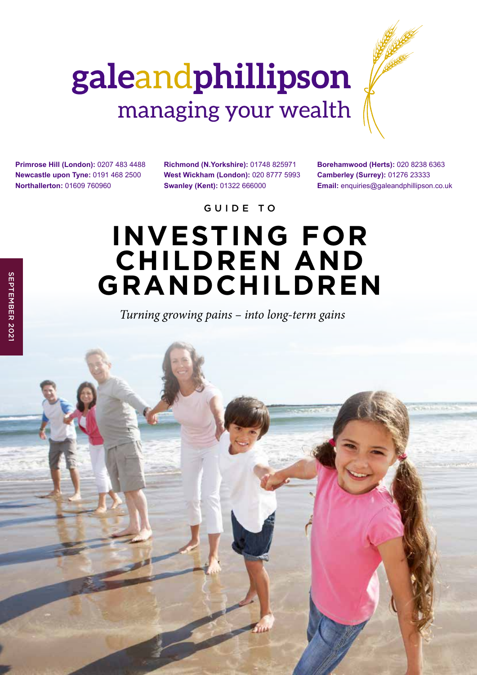# galeandphillipson managing your wealth

**Primrose Hill (London):** 0207 483 4488 **Newcastle upon Tyne:** 0191 468 2500 **Northallerton:** 01609 760960

**Richmond (N.Yorkshire):** 01748 825971 **West Wickham (London):** 020 8777 5993 **Swanley (Kent):** 01322 666000

**Borehamwood (Herts):** 020 8238 6363 **Camberley (Surrey):** 01276 23333 **Email:** enquiries@galeandphillipson.co.uk

GUIDE TO

## **INVESTING FOR CHILDREN AND GRANDCHILDREN**

*Turning growing pains – into long-term gains*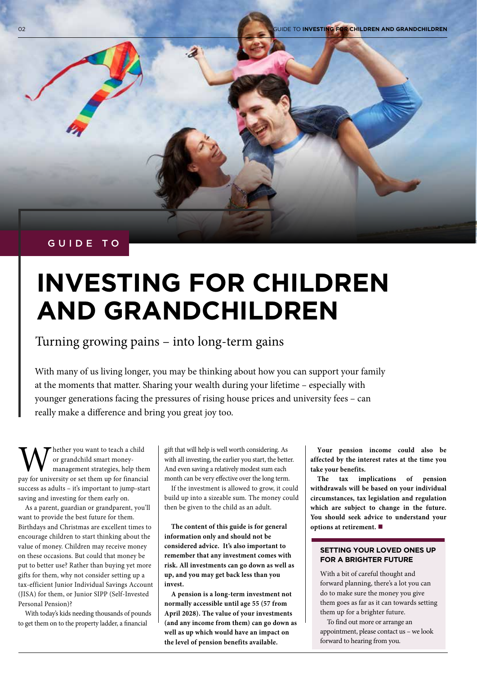#### GUIDE TO

## **INVESTING FOR CHILDREN AND GRANDCHILDREN**

Turning growing pains – into long-term gains

With many of us living longer, you may be thinking about how you can support your family at the moments that matter. Sharing your wealth during your lifetime – especially with younger generations facing the pressures of rising house prices and university fees – can really make a difference and bring you great joy too.

We hether you want to teach a child<br>or grandchild smart money-<br>management strategies, help then<br>pay for university or set them up for financia or grandchild smart moneymanagement strategies, help them pay for university or set them up for financial success as adults – it's important to jump-start saving and investing for them early on.

As a parent, guardian or grandparent, you'll want to provide the best future for them. Birthdays and Christmas are excellent times to encourage children to start thinking about the value of money. Children may receive money on these occasions. But could that money be put to better use? Rather than buying yet more gifts for them, why not consider setting up a tax-efficient Junior Individual Savings Account (JISA) for them, or Junior SIPP (Self-Invested Personal Pension)?

With today's kids needing thousands of pounds to get them on to the property ladder, a financial

gift that will help is well worth considering. As with all investing, the earlier you start, the better. And even saving a relatively modest sum each month can be very effective over the long term.

If the investment is allowed to grow, it could build up into a sizeable sum. The money could then be given to the child as an adult.

**The content of this guide is for general information only and should not be considered advice. It's also important to remember that any investment comes with risk. All investments can go down as well as up, and you may get back less than you invest.**

**A pension is a long-term investment not normally accessible until age 55 (57 from April 2028). The value of your investments (and any income from them) can go down as well as up which would have an impact on the level of pension benefits available.** 

**Your pension income could also be affected by the interest rates at the time you take your benefits.** 

**The tax implications of pension withdrawals will be based on your individual circumstances, tax legislation and regulation which are subject to change in the future. You should seek advice to understand your options at retirement.** 

#### **SETTING YOUR LOVED ONES UP FOR A BRIGHTER FUTURE**

With a bit of careful thought and forward planning, there's a lot you can do to make sure the money you give them goes as far as it can towards setting them up for a brighter future.

To find out more or arrange an appointment, please contact us – we look forward to hearing from you.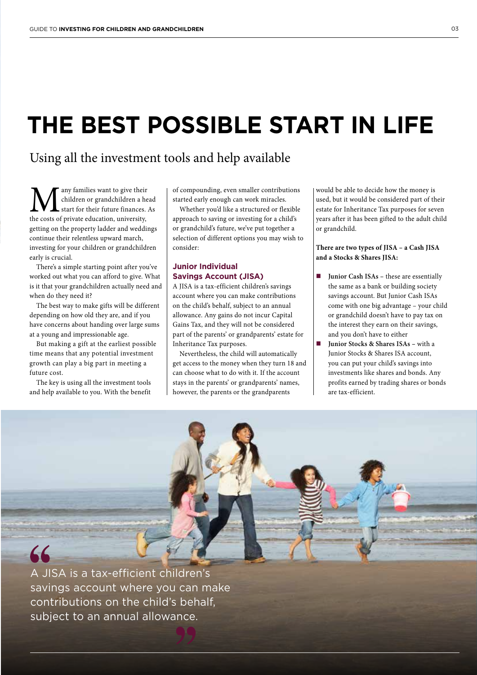### **THE BEST POSSIBLE START IN LIFE**

### Using all the investment tools and help available

**M** any families want to give their<br>the costs of private education, university, children or grandchildren a head start for their future finances. As getting on the property ladder and weddings continue their relentless upward march, investing for your children or grandchildren early is crucial.

There's a simple starting point after you've worked out what you can afford to give. What is it that your grandchildren actually need and when do they need it?

The best way to make gifts will be different depending on how old they are, and if you have concerns about handing over large sums at a young and impressionable age.

But making a gift at the earliest possible time means that any potential investment growth can play a big part in meeting a future cost.

The key is using all the investment tools and help available to you. With the benefit of compounding, even smaller contributions started early enough can work miracles.

Whether you'd like a structured or flexible approach to saving or investing for a child's or grandchild's future, we've put together a selection of different options you may wish to consider:

#### **Junior Individual Savings Account (JISA)**

A JISA is a tax-efficient children's savings account where you can make contributions on the child's behalf, subject to an annual allowance. Any gains do not incur Capital Gains Tax, and they will not be considered part of the parents' or grandparents' estate for Inheritance Tax purposes.

Nevertheless, the child will automatically get access to the money when they turn 18 and can choose what to do with it. If the account stays in the parents' or grandparents' names, however, the parents or the grandparents

would be able to decide how the money is used, but it would be considered part of their estate for Inheritance Tax purposes for seven years after it has been gifted to the adult child or grandchild.

**There are two types of JISA – a Cash JISA and a Stocks & Shares JISA:**

- **Junior Cash ISAs** these are essentially the same as a bank or building society savings account. But Junior Cash ISAs come with one big advantage – your child or grandchild doesn't have to pay tax on the interest they earn on their savings, and you don't have to either
- **Junior Stocks & Shares ISAs** with a Junior Stocks & Shares ISA account, you can put your child's savings into investments like shares and bonds. Any profits earned by trading shares or bonds are tax-efficient.



A JISA is a tax-efficient children's savings account where you can make contributions on the child's behalf, subject to an annual allowance.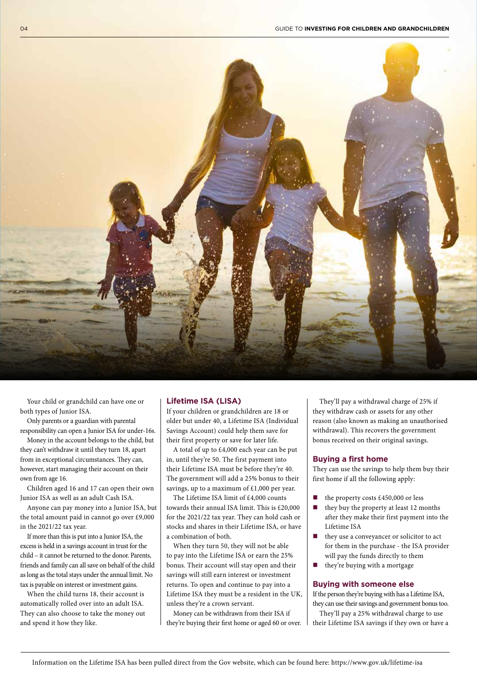

Your child or grandchild can have one or both types of Junior ISA.

Only parents or a guardian with parental responsibility can open a Junior ISA for under-16s.

Money in the account belongs to the child, but they can't withdraw it until they turn 18, apart from in exceptional circumstances. They can, however, start managing their account on their own from age 16.

Children aged 16 and 17 can open their own Junior ISA as well as an adult Cash ISA.

Anyone can pay money into a Junior ISA, but the total amount paid in cannot go over £9,000 in the 2021/22 tax year.

If more than this is put into a Junior ISA, the excess is held in a savings account in trust for the child – it cannot be returned to the donor. Parents, friends and family can all save on behalf of the child as long as the total stays under the annual limit. No tax is payable on interest or investment gains.

When the child turns 18, their account is automatically rolled over into an adult ISA. They can also choose to take the money out and spend it how they like.

#### **Lifetime ISA (LISA)**

If your children or grandchildren are 18 or older but under 40, a Lifetime ISA (Individual Savings Account) could help them save for their first property or save for later life.

A total of up to £4,000 each year can be put in, until they're 50. The first payment into their Lifetime ISA must be before they're 40. The government will add a 25% bonus to their savings, up to a maximum of £1,000 per year.

The Lifetime ISA limit of £4,000 counts towards their annual ISA limit. This is £20,000 for the 2021/22 tax year. They can hold cash or stocks and shares in their Lifetime ISA, or have a combination of both.

When they turn 50, they will not be able to pay into the Lifetime ISA or earn the 25% bonus. Their account will stay open and their savings will still earn interest or investment returns. To open and continue to pay into a Lifetime ISA they must be a resident in the UK, unless they're a crown servant.

Money can be withdrawn from their ISA if they're buying their first home or aged 60 or over.

They'll pay a withdrawal charge of 25% if they withdraw cash or assets for any other reason (also known as making an unauthorised withdrawal). This recovers the government bonus received on their original savings.

#### **Buying a first home**

They can use the savings to help them buy their first home if all the following apply:

- the property costs  $£450,000$  or less
- $\blacksquare$  they buy the property at least 12 months after they make their first payment into the Lifetime ISA
- they use a conveyancer or solicitor to act for them in the purchase - the ISA provider will pay the funds directly to them
- $\blacksquare$  they're buying with a mortgage

#### **Buying with someone else**

If the person they're buying with has a Lifetime ISA, they can use their savings and government bonus too.

They'll pay a 25% withdrawal charge to use their Lifetime ISA savings if they own or have a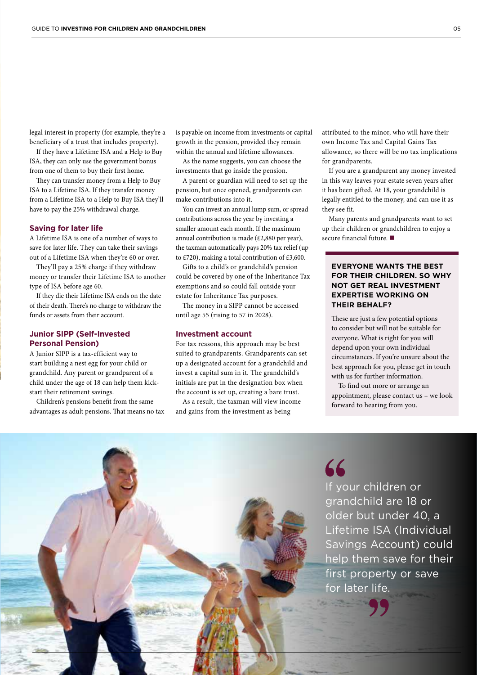legal interest in property (for example, they're a beneficiary of a trust that includes property).

If they have a Lifetime ISA and a Help to Buy ISA, they can only use the government bonus from one of them to buy their first home.

They can transfer money from a Help to Buy ISA to a Lifetime ISA. If they transfer money from a Lifetime ISA to a Help to Buy ISA they'll have to pay the 25% withdrawal charge.

#### **Saving for later life**

A Lifetime ISA is one of a number of ways to save for later life. They can take their savings out of a Lifetime ISA when they're 60 or over.

They'll pay a 25% charge if they withdraw money or transfer their Lifetime ISA to another type of ISA before age 60.

If they die their Lifetime ISA ends on the date of their death. There's no charge to withdraw the funds or assets from their account.

#### **Junior SIPP (Self-Invested Personal Pension)**

A Junior SIPP is a tax-efficient way to start building a nest egg for your child or grandchild. Any parent or grandparent of a child under the age of 18 can help them kickstart their retirement savings.

Children's pensions benefit from the same advantages as adult pensions. That means no tax

is payable on income from investments or capital growth in the pension, provided they remain within the annual and lifetime allowances.

As the name suggests, you can choose the investments that go inside the pension.

A parent or guardian will need to set up the pension, but once opened, grandparents can make contributions into it.

You can invest an annual lump sum, or spread contributions across the year by investing a smaller amount each month. If the maximum annual contribution is made (£2,880 per year), the taxman automatically pays 20% tax relief (up to £720), making a total contribution of £3,600.

Gifts to a child's or grandchild's pension could be covered by one of the Inheritance Tax exemptions and so could fall outside your estate for Inheritance Tax purposes.

The money in a SIPP cannot be accessed until age 55 (rising to 57 in 2028).

#### **Investment account**

For tax reasons, this approach may be best suited to grandparents. Grandparents can set up a designated account for a grandchild and invest a capital sum in it. The grandchild's initials are put in the designation box when the account is set up, creating a bare trust.

As a result, the taxman will view income and gains from the investment as being

attributed to the minor, who will have their own Income Tax and Capital Gains Tax allowance, so there will be no tax implications for grandparents.

If you are a grandparent any money invested in this way leaves your estate seven years after it has been gifted. At 18, your grandchild is legally entitled to the money, and can use it as they see fit.

Many parents and grandparents want to set up their children or grandchildren to enjoy a secure financial future.  $\blacksquare$ 

#### **EVERYONE WANTS THE BEST FOR THEIR CHILDREN. SO WHY NOT GET REAL INVESTMENT EXPERTISE WORKING ON THEIR BEHALF?**

These are just a few potential options to consider but will not be suitable for everyone. What is right for you will depend upon your own individual circumstances. If you're unsure about the best approach for you, please get in touch with us for further information.

To find out more or arrange an appointment, please contact us – we look forward to hearing from you.

66 If your children or grandchild are 18 or older but under 40, a Lifetime ISA (Individual Savings Account) could help them save for their first property or save for later life.